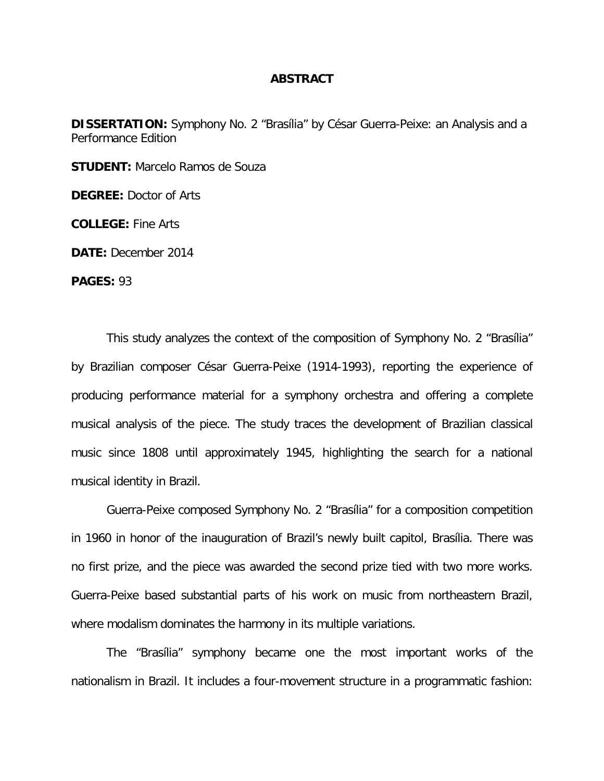## **ABSTRACT**

**DISSERTATION:** Symphony No. 2 "Brasília" by César Guerra-Peixe: an Analysis and a Performance Edition

**STUDENT:** Marcelo Ramos de Souza

**DEGREE:** Doctor of Arts

**COLLEGE:** Fine Arts

**DATE:** December 2014

**PAGES:** 93

This study analyzes the context of the composition of Symphony No. 2 "Brasília" by Brazilian composer César Guerra-Peixe (1914-1993), reporting the experience of producing performance material for a symphony orchestra and offering a complete musical analysis of the piece. The study traces the development of Brazilian classical music since 1808 until approximately 1945, highlighting the search for a national musical identity in Brazil.

Guerra-Peixe composed Symphony No. 2 "Brasília" for a composition competition in 1960 in honor of the inauguration of Brazil's newly built capitol, Brasília. There was no first prize, and the piece was awarded the second prize tied with two more works. Guerra-Peixe based substantial parts of his work on music from northeastern Brazil, where modalism dominates the harmony in its multiple variations.

The "Brasília" symphony became one the most important works of the nationalism in Brazil. It includes a four-movement structure in a programmatic fashion: